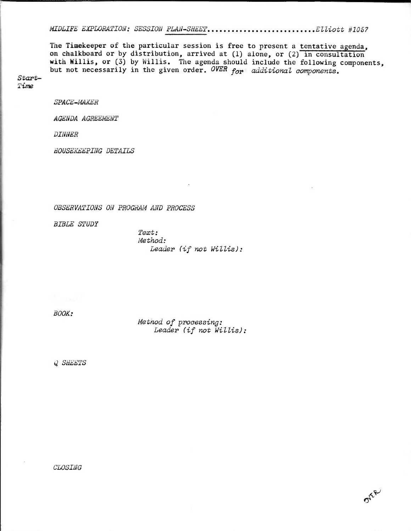MIDLIFE EXPLORATION: SESSION PLAN-SHEET.............................Elliott #1057

**The Timekeeper of the particular session is free to present a tentative agenda, on chalkboard or by distribution, arrived at (1) alone, or (2) in consultation with Willis, or** (3) **by Willis. The agenda should include the following components,**  but not necessarily in the given order. OVER for additional components.

Start-Time

SPACE-MAKER

AGENDA AGREEMENT

DINNER

HOUSEKEEPING DETAILS

OBSERVATIONS ON PROGRAM AND PROCESS

BIBLE STUDY

Text: Method: Leader (if not Willis):

BOOK:

Metnod of processing: Leader (if not Willis):

OTER

Q SHEETS

CLOSING